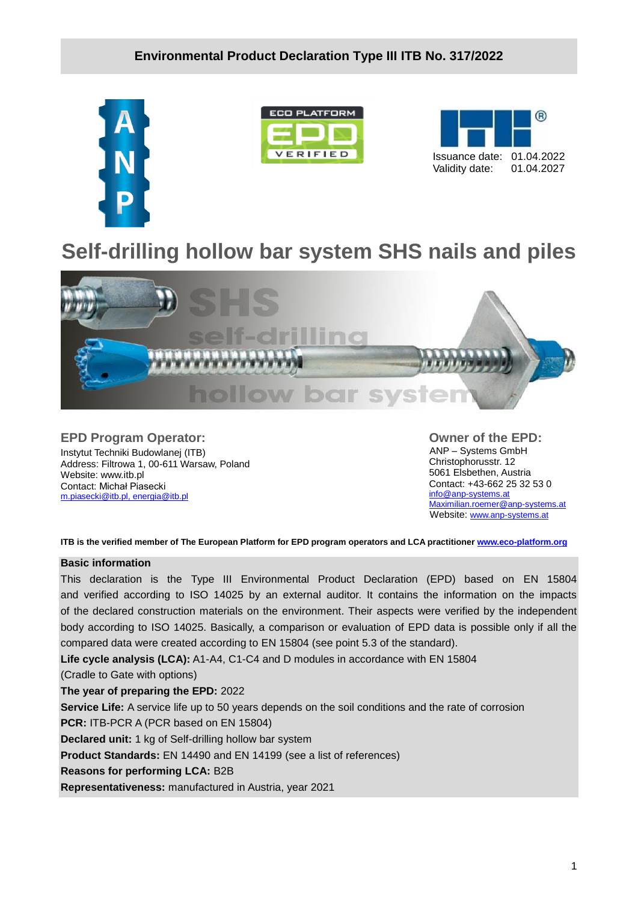





# **Self-drilling hollow bar system SHS nails and piles**



**EPD Program Operator:** Instytut Techniki Budowlanej (ITB) Address: Filtrowa 1, 00-611 Warsaw, Poland Website: www.itb.pl Contact: Michał Piasecki m.piasecki@itb.pl, [energia@itb.pl](mailto:energia@itb.pl)

**Owner of the EPD:** ANP – Systems GmbH Christophorusstr. 12 5061 Elsbethen, Austria Contact: +43-662 25 32 53 0 [info@anp-systems.at](mailto:info@anp-systems.at) [Maximilian.roemer@anp-systems.at](mailto:Maximilian.roemer@anp-systems.at) Website: [www.anp-systems.at](file:///C:/Users/M_Piasec/Desktop/ANP/www.anp-systems.at)

**ITB is the verified member of The European Platform for EPD program operators and LCA practitioner [www.eco-platform.org](http://www.eco-platform.org/)**

#### **Basic information**

This declaration is the Type III Environmental Product Declaration (EPD) based on EN 15804 and verified according to ISO 14025 by an external auditor. It contains the information on the impacts of the declared construction materials on the environment. Their aspects were verified by the independent body according to ISO 14025. Basically, a comparison or evaluation of EPD data is possible only if all the compared data were created according to EN 15804 (see point 5.3 of the standard).

**Life cycle analysis (LCA):** A1-A4, C1-C4 and D modules in accordance with EN 15804

(Cradle to Gate with options)

**The year of preparing the EPD:** 2022

**Service Life:** A service life up to 50 years depends on the soil conditions and the rate of corrosion

**PCR:** ITB-PCR A (PCR based on EN 15804)

**Declared unit:** 1 kg of Self-drilling hollow bar system

**Product Standards:** EN 14490 and EN 14199 (see a list of references)

**Reasons for performing LCA:** B2B

**Representativeness:** manufactured in Austria, year 2021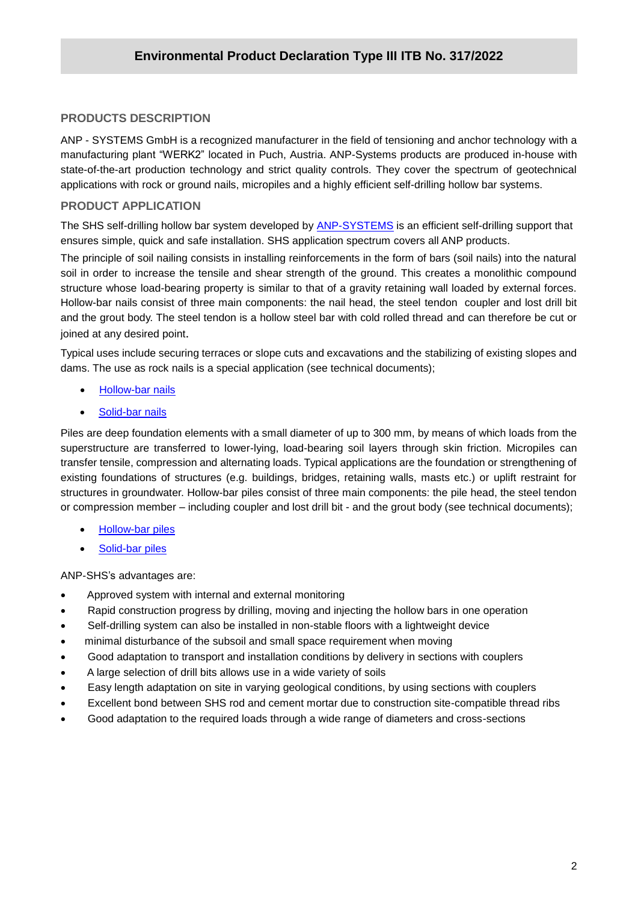# **/2020 PRODUCTS DESCRIPTION**

ANP - SYSTEMS GmbH is a recognized manufacturer in the field of tensioning and anchor technology with a manufacturing plant "WERK2" located in Puch, Austria. ANP-Systems products are produced in-house with state-of-the-art production technology and strict quality controls. They cover the spectrum of geotechnical applications with rock or ground nails, micropiles and a highly efficient self-drilling hollow bar systems.

### **PRODUCT APPLICATION**

The SHS self-drilling hollow bar system developed by **ANP-SYSTEMS** is an efficient self-drilling support that ensures simple, quick and safe installation. SHS application spectrum covers all ANP products.

The principle of soil nailing consists in installing reinforcements in the form of bars (soil nails) into the natural soil in order to increase the tensile and shear strength of the ground. This creates a monolithic compound structure whose load-bearing property is similar to that of a gravity retaining wall loaded by external forces. Hollow-bar nails consist of three main components: the nail head, the steel tendon coupler and lost drill bit and the grout body. The steel tendon is a hollow steel bar with cold rolled thread and can therefore be cut or joined at any desired point.

Typical uses include securing terraces or slope cuts and excavations and the stabilizing of existing slopes and dams. The use as rock nails is a special application (see technical documents);

- [Hollow-bar nails](https://www.anp-systems.at/en/products/nails/hollow-bar-nails/)
- [Solid-bar nails](https://www.anp-systems.at/en/products/nails/solid-bar-nails/)

Piles are deep foundation elements with a small diameter of up to 300 mm, by means of which loads from the superstructure are transferred to lower-lying, load-bearing soil layers through skin friction. Micropiles can transfer tensile, compression and alternating loads. Typical applications are the foundation or strengthening of existing foundations of structures (e.g. buildings, bridges, retaining walls, masts etc.) or uplift restraint for structures in groundwater. Hollow-bar piles consist of three main components: the pile head, the steel tendon or compression member – including coupler and lost drill bit - and the grout body (see technical documents);

- [Hollow-bar piles](https://www.anp-systems.at/en/products/piles/hollow-bar-piles/)
- [Solid-bar piles](https://www.anp-systems.at/en/products/piles/solid-bar-piles/)

ANP-SHS's advantages are:

- Approved system with internal and external monitoring
- Rapid construction progress by drilling, moving and injecting the hollow bars in one operation
- Self-drilling system can also be installed in non-stable floors with a lightweight device
- minimal disturbance of the subsoil and small space requirement when moving
- Good adaptation to transport and installation conditions by delivery in sections with couplers
- A large selection of drill bits allows use in a wide variety of soils
- Easy length adaptation on site in varying geological conditions, by using sections with couplers
- Excellent bond between SHS rod and cement mortar due to construction site-compatible thread ribs
- Good adaptation to the required loads through a wide range of diameters and cross-sections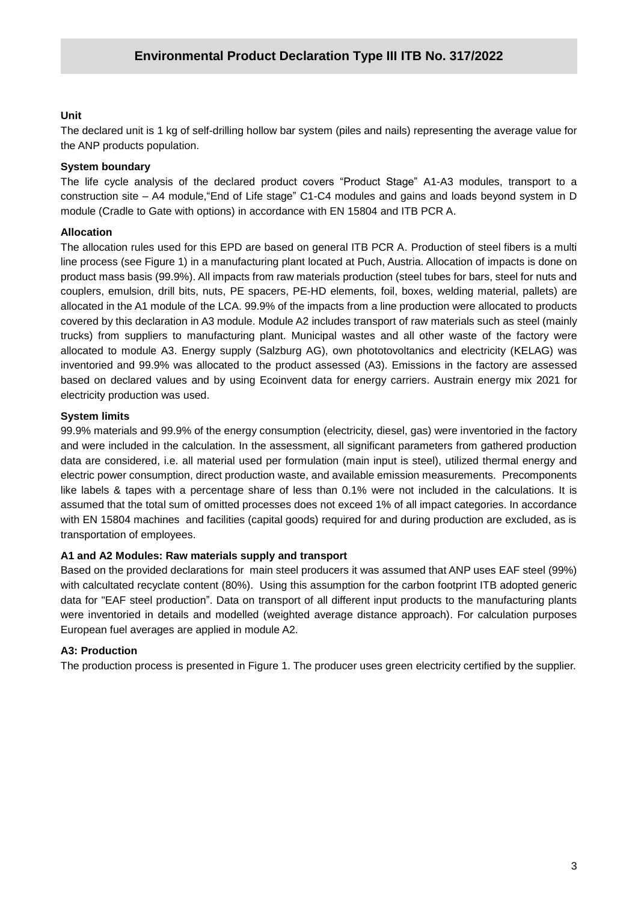## **Unit**

**/2020** The declared unit is 1 kg of self-drilling hollow bar system (piles and nails) representing the average value for the ANP products population.

# **System boundary**

The life cycle analysis of the declared product covers "Product Stage" A1-A3 modules, transport to a construction site – A4 module,"End of Life stage" C1-C4 modules and gains and loads beyond system in D module (Cradle to Gate with options) in accordance with EN 15804 and ITB PCR A.

# **Allocation**

The allocation rules used for this EPD are based on general ITB PCR A. Production of steel fibers is a multi line process (see Figure 1) in a manufacturing plant located at Puch, Austria. Allocation of impacts is done on product mass basis (99.9%). All impacts from raw materials production (steel tubes for bars, steel for nuts and couplers, emulsion, drill bits, nuts, PE spacers, PE-HD elements, foil, boxes, welding material, pallets) are allocated in the A1 module of the LCA. 99.9% of the impacts from a line production were allocated to products covered by this declaration in A3 module. Module A2 includes transport of raw materials such as steel (mainly trucks) from suppliers to manufacturing plant. Municipal wastes and all other waste of the factory were allocated to module A3. Energy supply (Salzburg AG), own phototovoltanics and electricity (KELAG) was inventoried and 99.9% was allocated to the product assessed (A3). Emissions in the factory are assessed based on declared values and by using Ecoinvent data for energy carriers. Austrain energy mix 2021 for electricity production was used.

## **System limits**

99.9% materials and 99.9% of the energy consumption (electricity, diesel, gas) were inventoried in the factory and were included in the calculation. In the assessment, all significant parameters from gathered production data are considered, i.e. all material used per formulation (main input is steel), utilized thermal energy and electric power consumption, direct production waste, and available emission measurements. Precomponents like labels & tapes with a percentage share of less than 0.1% were not included in the calculations. It is assumed that the total sum of omitted processes does not exceed 1% of all impact categories. In accordance with EN 15804 machines and facilities (capital goods) required for and during production are excluded, as is transportation of employees.

## **A1 and A2 Modules: Raw materials supply and transport**

Based on the provided declarations for main steel producers it was assumed that ANP uses EAF steel (99%) with calcultated recyclate content (80%). Using this assumption for the carbon footprint ITB adopted generic data for "EAF steel production". Data on transport of all different input products to the manufacturing plants were inventoried in details and modelled (weighted average distance approach). For calculation purposes European fuel averages are applied in module A2.

# **A3: Production**

The production process is presented in Figure 1. The producer uses green electricity certified by the supplier.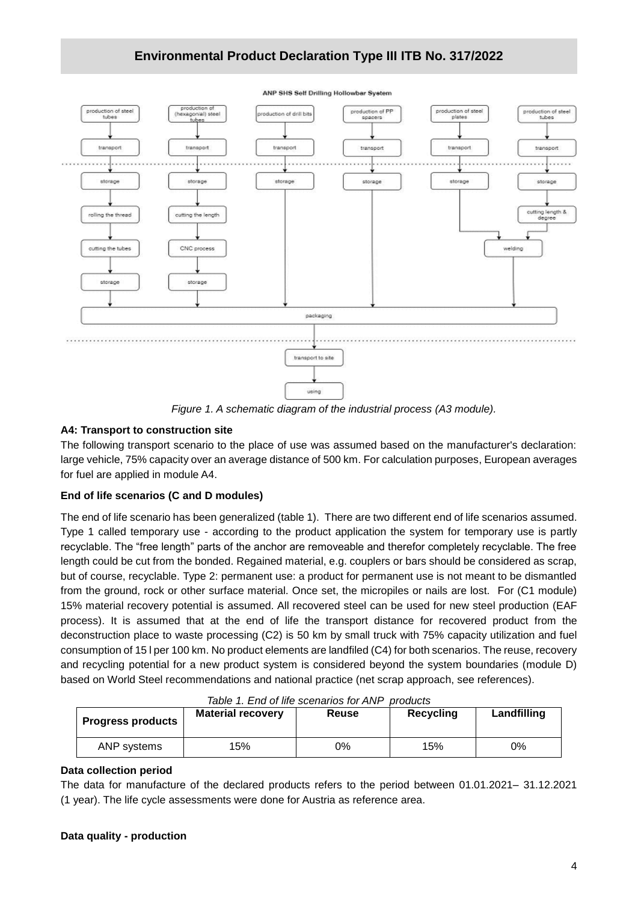# **Environmental Product Declaration Type III ITB No. 317/2022**



*Figure 1. A schematic diagram of the industrial process (A3 module).*

## **A4: Transport to construction site**

The following transport scenario to the place of use was assumed based on the manufacturer's declaration: large vehicle, 75% capacity over an average distance of 500 km. For calculation purposes, European averages for fuel are applied in module A4.

## **End of life scenarios (C and D modules)**

The end of life scenario has been generalized (table 1). There are two different end of life scenarios assumed. Type 1 called temporary use - according to the product application the system for temporary use is partly recyclable. The "free length" parts of the anchor are removeable and therefor completely recyclable. The free length could be cut from the bonded. Regained material, e.g. couplers or bars should be considered as scrap, but of course, recyclable. Type 2: permanent use: a product for permanent use is not meant to be dismantled from the ground, rock or other surface material. Once set, the micropiles or nails are lost. For (C1 module) 15% material recovery potential is assumed. All recovered steel can be used for new steel production (EAF process). It is assumed that at the end of life the transport distance for recovered product from the deconstruction place to waste processing (C2) is 50 km by small truck with 75% capacity utilization and fuel consumption of 15 l per 100 km. No product elements are landfiled (C4) for both scenarios. The reuse, recovery and recycling potential for a new product system is considered beyond the system boundaries (module D) based on World Steel recommendations and national practice (net scrap approach, see references).

| Table 1. End of life scenarios for ANP<br>products |                          |       |           |             |  |  |  |  |
|----------------------------------------------------|--------------------------|-------|-----------|-------------|--|--|--|--|
| <b>Progress products</b>                           | <b>Material recovery</b> | Reuse | Recycling | Landfilling |  |  |  |  |
| ANP systems                                        | 15%                      | 0%    | 15%       | 0%          |  |  |  |  |

*Table 1. End of life scenarios for ANP products*

#### **Data collection period**

The data for manufacture of the declared products refers to the period between 01.01.2021– 31.12.2021 (1 year). The life cycle assessments were done for Austria as reference area.

#### **Data quality - production**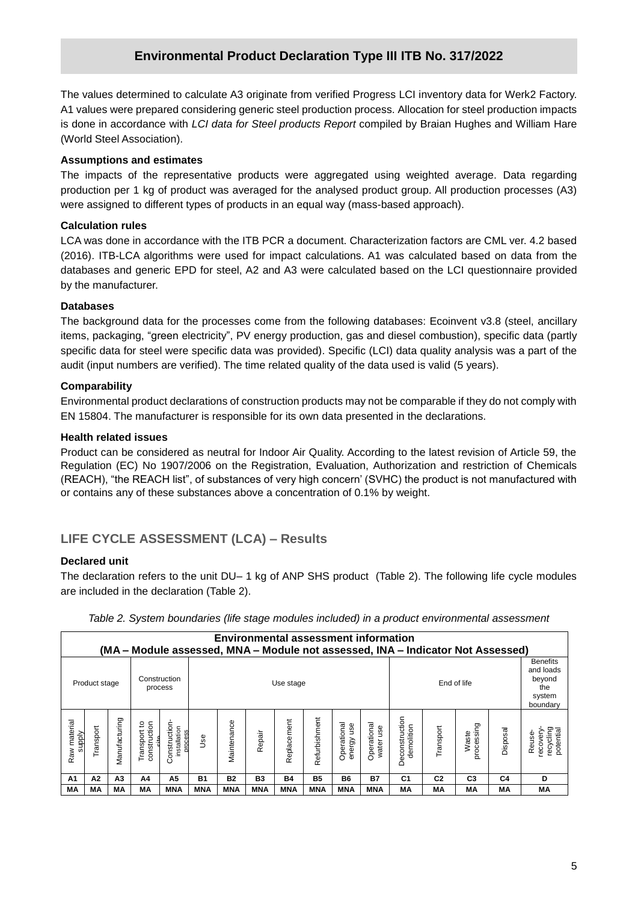# **Environmental Product Declaration Type III ITB No. 317/2022**

**/2020** is done in accordance with *LCI data for Steel products Report* compiled by Braian Hughes and William Hare The values determined to calculate A3 originate from verified Progress LCI inventory data for Werk2 Factory. A1 values were prepared considering generic steel production process. Allocation for steel production impacts (World Steel Association).

#### **Assumptions and estimates**

The impacts of the representative products were aggregated using weighted average. Data regarding production per 1 kg of product was averaged for the analysed product group. All production processes (A3) were assigned to different types of products in an equal way (mass-based approach).

### **Calculation rules**

LCA was done in accordance with the ITB PCR a document. Characterization factors are CML ver. 4.2 based (2016). ITB-LCA algorithms were used for impact calculations. A1 was calculated based on data from the databases and generic EPD for steel, A2 and A3 were calculated based on the LCI questionnaire provided by the manufacturer.

### **Databases**

The background data for the processes come from the following databases: Ecoinvent v3.8 (steel, ancillary items, packaging, "green electricity", PV energy production, gas and diesel combustion), specific data (partly specific data for steel were specific data was provided). Specific (LCI) data quality analysis was a part of the audit (input numbers are verified). The time related quality of the data used is valid (5 years).

### **Comparability**

Environmental product declarations of construction products may not be comparable if they do not comply with EN 15804. The manufacturer is responsible for its own data presented in the declarations.

### **Health related issues**

Product can be considered as neutral for Indoor Air Quality. According to the latest revision of Article 59, the Regulation (EC) No 1907/2006 on the Registration, Evaluation, Authorization and restriction of Chemicals (REACH), "the REACH list", of substances of very high concern' (SVHC) the product is not manufactured with or contains any of these substances above a concentration of 0.1% by weight.

# **LIFE CYCLE ASSESSMENT (LCA) – Results**

## **Declared unit**

The declaration refers to the unit DU– 1 kg of ANP SHS product (Table 2). The following life cycle modules are included in the declaration (Table 2).

|                        | <b>Environmental assessment information</b><br>(MA – Module assessed, MNA – Module not assessed, INA – Indicator Not Assessed) |               |                                         |                                          |                          |             |            |             |               |                              |                                                                     |                              |                |                     |          |                                               |
|------------------------|--------------------------------------------------------------------------------------------------------------------------------|---------------|-----------------------------------------|------------------------------------------|--------------------------|-------------|------------|-------------|---------------|------------------------------|---------------------------------------------------------------------|------------------------------|----------------|---------------------|----------|-----------------------------------------------|
|                        | Product stage                                                                                                                  |               |                                         | Construction<br>process                  | End of life<br>Use stage |             |            |             |               |                              | <b>Benefits</b><br>and loads<br>beyond<br>the<br>system<br>boundary |                              |                |                     |          |                                               |
| Raw material<br>supply | Transport                                                                                                                      | Manufacturing | construction<br>Transport to<br>و<br>پن | Construction-<br>installation<br>process | Use                      | Maintenance | Repair     | Replacement | Refurbishment | Operational<br>use<br>energy | Operational<br>water use                                            | Deconstruction<br>demolition | Transport      | processing<br>Waste | Disposal | recycling<br>potential<br>recovery-<br>Reuse- |
| A1                     | А2                                                                                                                             | A3            | A4                                      | А5                                       | <b>B1</b>                | <b>B2</b>   | <b>B3</b>  | <b>B4</b>   | <b>B5</b>     | <b>B6</b>                    | <b>B7</b>                                                           | C <sub>1</sub>               | C <sub>2</sub> | C <sub>3</sub>      | C4       | D                                             |
| МA                     | МA                                                                                                                             | MА            | МA                                      | MNA                                      | <b>MNA</b>               | <b>MNA</b>  | <b>MNA</b> | <b>MNA</b>  | <b>MNA</b>    | <b>MNA</b>                   | <b>MNA</b>                                                          | МA                           | МA             | МA                  | MА       | МA                                            |

*Table 2. System boundaries (life stage modules included) in a product environmental assessment*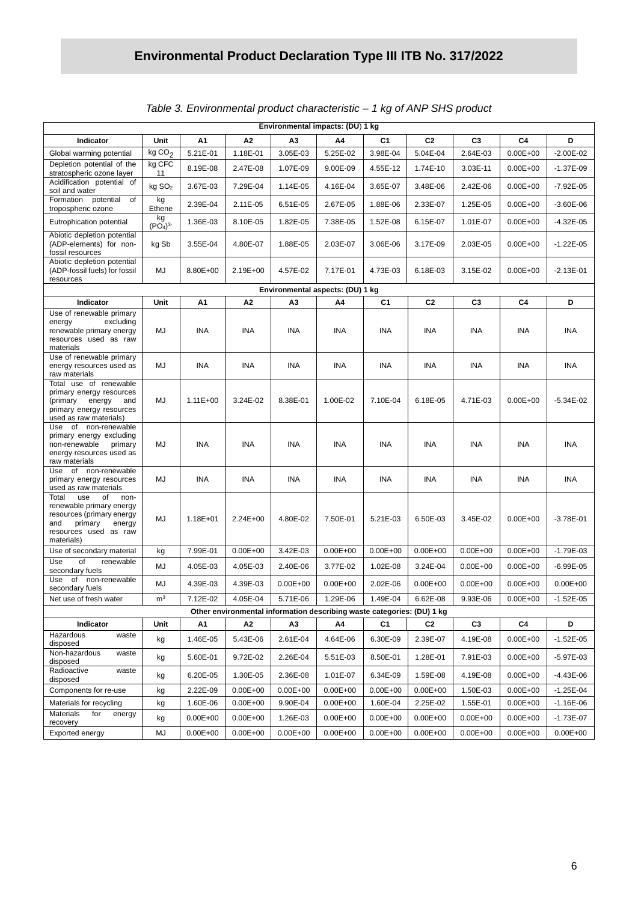| Environmental impacts: (DU) 1 kg                                                                                                                       |                                       |                          |                              |                      |                                  |                          |                          |                          |                              |                                |
|--------------------------------------------------------------------------------------------------------------------------------------------------------|---------------------------------------|--------------------------|------------------------------|----------------------|----------------------------------|--------------------------|--------------------------|--------------------------|------------------------------|--------------------------------|
| Indicator                                                                                                                                              | Unit                                  | А1                       | A2                           | A3                   | Α4                               | C1                       | C <sub>2</sub>           | C <sub>3</sub>           | C4                           | D                              |
| Global warming potential                                                                                                                               | kgCO <sub>2</sub>                     | 5.21E-01                 | 1.18E-01                     | 3.05E-03             | 5.25E-02                         | 3.98E-04                 | 5.04E-04                 | 2.64E-03                 | $0.00E + 00$                 | $-2.00E - 02$                  |
| Depletion potential of the<br>stratospheric ozone layer                                                                                                | kg CFC<br>11                          | 8.19E-08                 | 2.47E-08                     | 1.07E-09             | 9.00E-09                         | 4.55E-12                 | 1.74E-10                 | 3.03E-11                 | $0.00E + 00$                 | $-1.37E-09$                    |
| Acidification potential of<br>soil and water                                                                                                           | kg SO <sub>2</sub>                    | 3.67E-03                 | 7.29E-04                     | 1.14E-05             | 4.16E-04                         | 3.65E-07                 | 3.48E-06                 | 2.42E-06                 | $0.00E + 00$                 | $-7.92E - 05$                  |
| Formation potential<br>of<br>tropospheric ozone                                                                                                        | kg<br>Ethene                          | 2.39E-04                 | 2.11E-05                     | 6.51E-05             | 2.67E-05                         | 1.88E-06                 | 2.33E-07                 | 1.25E-05                 | $0.00E + 00$                 | $-3.60E - 06$                  |
| Eutrophication potential                                                                                                                               | kg<br>(PO <sub>4</sub> ) <sup>3</sup> | 1.36E-03                 | 8.10E-05                     | 1.82E-05             | 7.38E-05                         | 1.52E-08                 | 6.15E-07                 | 1.01E-07                 | $0.00E + 00$                 | $-4.32E - 05$                  |
| Abiotic depletion potential<br>(ADP-elements) for non-<br>fossil resources                                                                             | kg Sb                                 | 3.55E-04                 | 4.80E-07                     | 1.88E-05             | 2.03E-07                         | 3.06E-06                 | 3.17E-09                 | 2.03E-05                 | $0.00E + 00$                 | $-1.22E - 05$                  |
| Abiotic depletion potential<br>(ADP-fossil fuels) for fossil<br>resources                                                                              | MJ                                    | 8.80E+00                 | 2.19E+00                     | 4.57E-02             | 7.17E-01                         | 4.73E-03                 | 6.18E-03                 | 3.15E-02                 | $0.00E + 00$                 | $-2.13E-01$                    |
|                                                                                                                                                        |                                       |                          |                              |                      | Environmental aspects: (DU) 1 kg |                          |                          |                          |                              |                                |
| Indicator                                                                                                                                              | Unit                                  | А1                       | Α2                           | A3                   | Α4                               | C1                       | C <sub>2</sub>           | C <sub>3</sub>           | C4                           | D                              |
| Use of renewable primary<br>excluding<br>energy<br>renewable primary energy<br>resources used as raw<br>materials                                      | MJ                                    | <b>INA</b>               | <b>INA</b>                   | INA                  | INA                              | INA                      | INA                      | INA                      | <b>INA</b>                   | <b>INA</b>                     |
| Use of renewable primary<br>energy resources used as<br>raw materials                                                                                  | MJ                                    | INA                      | INA                          | <b>INA</b>           | <b>INA</b>                       | <b>INA</b>               | <b>INA</b>               | INA                      | INA                          | INA                            |
| Total use of renewable<br>primary energy resources<br>(primary<br>energy<br>and<br>primary energy resources<br>used as raw materials)                  | MJ                                    | $1.11E + 00$             | 3.24E-02                     | 8.38E-01             | 1.00E-02                         | 7.10E-04                 | 6.18E-05                 | 4.71E-03                 | $0.00E + 00$                 | $-5.34E-02$                    |
| Use of non-renewable<br>primary energy excluding<br>non-renewable<br>primary<br>energy resources used as<br>raw materials                              | MJ                                    | <b>INA</b>               | <b>INA</b>                   | <b>INA</b>           | <b>INA</b>                       | <b>INA</b>               | INA                      | INA                      | <b>INA</b>                   | INA                            |
| of non-renewable<br>Use<br>primary energy resources<br>used as raw materials                                                                           | MJ                                    | INA                      | INA                          | INA                  | <b>INA</b>                       | <b>INA</b>               | <b>INA</b>               | INA                      | INA                          | <b>INA</b>                     |
| Total<br>use<br>of<br>non-<br>renewable primary energy<br>resources (primary energy<br>and<br>primary<br>energy<br>resources used as raw<br>materials) | MJ                                    | 1.18E+01                 | $2.24E + 00$                 | 4.80E-02             | 7.50E-01                         | 5.21E-03                 | 6.50E-03                 | 3.45E-02                 | $0.00E + 00$                 | $-3.78E - 01$                  |
| Use of secondary material                                                                                                                              | kg                                    | 7.99E-01                 | $0.00E + 00$                 | 3.42E-03             | $0.00E + 00$                     | $0.00E + 00$             | $0.00E + 00$             | $0.00E + 00$             | $0.00E + 00$                 | $-1.79E-03$                    |
| Use<br>of<br>renewable<br>secondary fuels                                                                                                              | MJ                                    | 4.05E-03                 | 4.05E-03                     | 2.40E-06             | 3.77E-02                         | 1.02E-08                 | 3.24E-04                 | $0.00E + 00$             | $0.00E + 00$                 | $-6.99E - 05$                  |
| Use<br>of<br>non-renewable<br>secondary fuels                                                                                                          | MJ                                    | 4.39E-03                 | 4.39E-03                     | $0.00E + 00$         | $0.00E + 00$                     | 2.02E-06                 | $0.00E + 00$             | $0.00E + 00$             | $0.00E + 00$                 | $0.00E + 00$                   |
| Net use of fresh water                                                                                                                                 | m <sup>3</sup>                        | 7.12E-02                 | 4.05E-04                     | 5.71E-06             | 1.29E-06                         | 1.49E-04                 | 6.62E-08                 | $9.93E - 06$             | $0.00E + 00$                 | $-1.52E-05$                    |
| Other environmental information describing waste categories: (DU) 1 kg<br>D                                                                            |                                       |                          |                              |                      |                                  |                          |                          |                          |                              |                                |
| Indicator<br>Hazardous<br>waste                                                                                                                        | Unit                                  | А1                       | А2                           | А3                   | Α4                               | C <sub>1</sub>           | C <sub>2</sub>           | C <sub>3</sub>           | C4                           |                                |
| disposed<br>Non-hazardous<br>waste                                                                                                                     | kg                                    | 1.46E-05                 | 5.43E-06                     | 2.61E-04             | 4.64E-06                         | 6.30E-09                 | 2.39E-07                 | 4.19E-08                 | $0.00E + 00$                 | $-1.52E-05$                    |
| disposed<br>Radioactive<br>waste                                                                                                                       | kg                                    | 5.60E-01                 | 9.72E-02                     | 2.26E-04             | 5.51E-03                         | 8.50E-01                 | 1.28E-01                 | 7.91E-03                 | $0.00E + 00$                 | $-5.97E-03$                    |
| disposed                                                                                                                                               | kg                                    | 6.20E-05                 | 1.30E-05                     | 2.36E-08             | 1.01E-07                         | 6.34E-09                 | 1.59E-08                 | 4.19E-08                 | $0.00E + 00$                 | $-4.43E-06$                    |
| Components for re-use                                                                                                                                  | kg                                    | 2.22E-09                 | $0.00E + 00$                 | $0.00E + 00$         | $0.00E + 00$                     | $0.00E + 00$             | $0.00E + 00$             | 1.50E-03                 | $0.00E + 00$                 | $-1.25E - 04$                  |
| Materials for recycling<br>Materials<br>for<br>energy                                                                                                  | kg<br>kg                              | 1.60E-06<br>$0.00E + 00$ | $0.00E + 00$<br>$0.00E + 00$ | 9.90E-04<br>1.26E-03 | $0.00E + 00$<br>$0.00E + 00$     | 1.60E-04<br>$0.00E + 00$ | 2.25E-02<br>$0.00E + 00$ | 1.55E-01<br>$0.00E + 00$ | $0.00E + 00$<br>$0.00E + 00$ | $-1.16E - 06$<br>$-1.73E - 07$ |
| recovery<br>Exported energy                                                                                                                            | MJ                                    | $0.00E + 00$             | $0.00E + 00$                 | $0.00E + 00$         | $0.00E + 00$                     | $0.00E + 00$             | $0.00E + 00$             | $0.00E + 00$             | $0.00E + 00$                 | $0.00E + 00$                   |
|                                                                                                                                                        |                                       |                          |                              |                      |                                  |                          |                          |                          |                              |                                |

# *Table 3. Environmental product characteristic – 1 kg of ANP SHS product*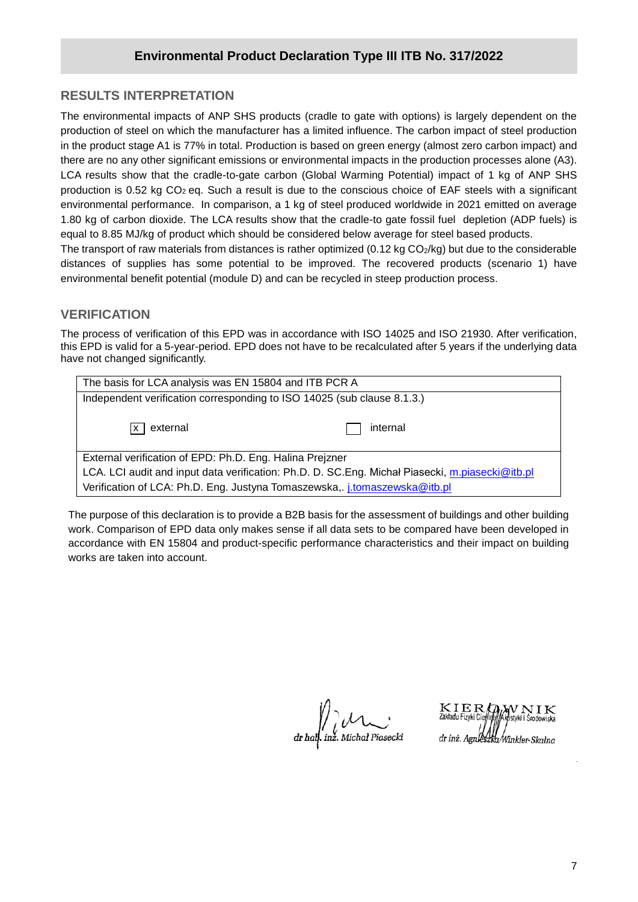# **RESULTS INTERPRETATION**

**/2020** production of steel on which the manufacturer has a limited influence. The carbon impact of steel production The environmental impacts of ANP SHS products (cradle to gate with options) is largely dependent on the in the product stage A1 is 77% in total. Production is based on green energy (almost zero carbon impact) and there are no any other significant emissions or environmental impacts in the production processes alone (A3). LCA results show that the cradle-to-gate carbon (Global Warming Potential) impact of 1 kg of ANP SHS production is 0.52 kg CO<sub>2</sub> eq. Such a result is due to the conscious choice of EAF steels with a significant environmental performance. In comparison, a 1 kg of steel produced worldwide in 2021 emitted on average 1.80 kg of carbon dioxide. The LCA results show that the cradle-to gate fossil fuel depletion (ADP fuels) is equal to 8.85 MJ/kg of product which should be considered below average for steel based products. The transport of raw materials from distances is rather optimized  $(0.12 \text{ kg CO}_2/\text{kg})$  but due to the considerable

distances of supplies has some potential to be improved. The recovered products (scenario 1) have environmental benefit potential (module D) and can be recycled in steep production process.

# **VERIFICATION**

The process of verification of this EPD was in accordance with ISO 14025 and ISO 21930. After verification, this EPD is valid for a 5-year-period. EPD does not have to be recalculated after 5 years if the underlying data have not changed significantly.

| The basis for LCA analysis was EN 15804 and ITB PCR A                                            |          |  |  |  |  |  |
|--------------------------------------------------------------------------------------------------|----------|--|--|--|--|--|
| Independent verification corresponding to ISO 14025 (sub clause 8.1.3.)                          |          |  |  |  |  |  |
| $ x $ external                                                                                   | internal |  |  |  |  |  |
| External verification of EPD: Ph.D. Eng. Halina Preizner                                         |          |  |  |  |  |  |
| LCA. LCI audit and input data verification: Ph.D. D. SC. Eng. Michał Piasecki, m.piasecki@itb.pl |          |  |  |  |  |  |
| Verification of LCA: Ph.D. Eng. Justyna Tomaszewska, j.tomaszewska@itb.pl                        |          |  |  |  |  |  |

The purpose of this declaration is to provide a B2B basis for the assessment of buildings and other building work. Comparison of EPD data only makes sense if all data sets to be compared have been developed in accordance with EN 15804 and product-specific performance characteristics and their impact on building works are taken into account.

dr half. inz. Michał Piasecki

IERQWNIK styki i Środowiska dr inż. Agnleszka Winkler-Skalna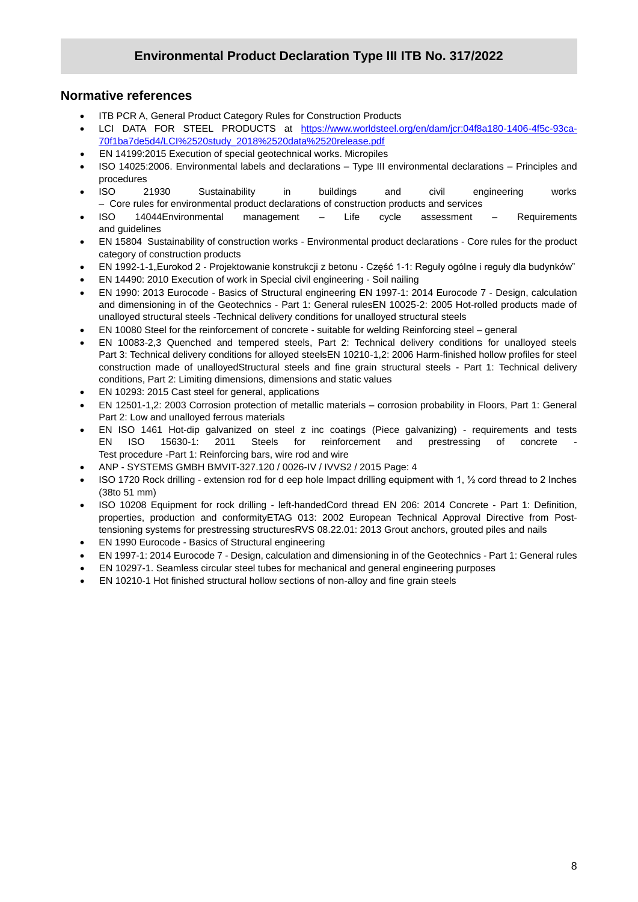# **Normative references**

- ITB PCR A, General Product Category Rules for Construction Products
- **/2020** LCI DATA FOR STEEL PRODUCTS at [https://www.worldsteel.org/en/dam/jcr:04f8a180-1406-4f5c-93ca-](https://www.worldsteel.org/en/dam/jcr:04f8a180-1406-4f5c-93ca-70f1ba7de5d4/LCI%2520study_2018%2520data%2520release.pdf)[70f1ba7de5d4/LCI%2520study\\_2018%2520data%2520release.pdf](https://www.worldsteel.org/en/dam/jcr:04f8a180-1406-4f5c-93ca-70f1ba7de5d4/LCI%2520study_2018%2520data%2520release.pdf)
- EN 14199:2015 Execution of special geotechnical works. Micropiles
- ISO 14025:2006. Environmental labels and declarations Type III environmental declarations Principles and procedures
- ISO 21930 Sustainability in buildings and civil engineering works – Core rules for environmental product declarations of construction products and services
- ISO 14044Environmental management Life cycle assessment Requirements and guidelines
- EN 15804 Sustainability of construction works Environmental product declarations Core rules for the product category of construction products
- EN 1992-1-1"Eurokod 2 Projektowanie konstrukcji z betonu Część 1-1: Reguły ogólne i reguły dla budynków"
- EN 14490: 2010 Execution of work in Special civil engineering Soil nailing
- EN 1990: 2013 Eurocode Basics of Structural engineering EN 1997-1: 2014 Eurocode 7 Design, calculation and dimensioning in of the Geotechnics - Part 1: General rulesEN 10025-2: 2005 Hot-rolled products made of unalloyed structural steels -Technical delivery conditions for unalloyed structural steels
- EN 10080 Steel for the reinforcement of concrete suitable for welding Reinforcing steel general
- EN 10083-2,3 Quenched and tempered steels, Part 2: Technical delivery conditions for unalloyed steels Part 3: Technical delivery conditions for alloyed steelsEN 10210-1,2: 2006 Harm-finished hollow profiles for steel construction made of unalloyedStructural steels and fine grain structural steels - Part 1: Technical delivery conditions, Part 2: Limiting dimensions, dimensions and static values
- EN 10293: 2015 Cast steel for general, applications
- EN 12501-1,2: 2003 Corrosion protection of metallic materials corrosion probability in Floors, Part 1: General Part 2: Low and unalloyed ferrous materials
- EN ISO 1461 Hot-dip galvanized on steel z inc coatings (Piece galvanizing) requirements and tests EN ISO 15630-1: 2011 Steels for reinforcement and prestressing of concrete Test procedure -Part 1: Reinforcing bars, wire rod and wire
- ANP SYSTEMS GMBH BMVIT-327.120 / 0026-IV / IVVS2 / 2015 Page: 4
- ISO 1720 Rock drilling extension rod for d eep hole Impact drilling equipment with 1, ½ cord thread to 2 Inches (38to 51 mm)
- ISO 10208 Equipment for rock drilling left-handedCord thread EN 206: 2014 Concrete Part 1: Definition, properties, production and conformityETAG 013: 2002 European Technical Approval Directive from Posttensioning systems for prestressing structuresRVS 08.22.01: 2013 Grout anchors, grouted piles and nails
- EN 1990 Eurocode Basics of Structural engineering
- EN 1997-1: 2014 Eurocode 7 Design, calculation and dimensioning in of the Geotechnics Part 1: General rules
- EN 10297-1. Seamless circular steel tubes for mechanical and general engineering purposes
- EN 10210-1 Hot finished structural hollow sections of non-alloy and fine grain steels